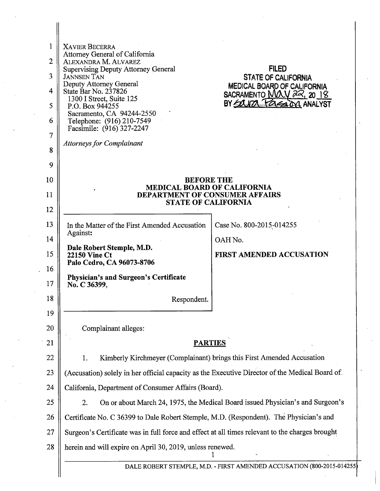| 1               | <b>XAVIER BECERRA</b>                                                                                     |                                                         |  |
|-----------------|-----------------------------------------------------------------------------------------------------------|---------------------------------------------------------|--|
| $\overline{2}$  | Attorney General of California<br>ALEXANDRA M. ALVAREZ                                                    |                                                         |  |
| 3               | <b>Supervising Deputy Attorney General</b><br><b>JANNSEN TAN</b>                                          | <b>FILED</b><br><b>STATE OF CALIFORNIA</b>              |  |
| 4               | Deputy Attorney General<br>State Bar No. 237826                                                           | MEDICAL BOARD OF CALIFORNIA<br>SACRAMENTO MAY 22, 20 18 |  |
| 5               | 1300 I Street, Suite 125<br>P.O. Box 944255                                                               | BY EQUIPA FRESTON ANALYST                               |  |
| 6               | Sacramento, CA 94244-2550<br>Telephone: (916) 210-7549                                                    |                                                         |  |
| $\overline{7}$  | Facsimile: (916) 327-2247                                                                                 |                                                         |  |
| 8               | <b>Attorneys for Complainant</b>                                                                          |                                                         |  |
| 9               |                                                                                                           |                                                         |  |
| 10 <sup>°</sup> | <b>BEFORE THE</b>                                                                                         |                                                         |  |
| 11              | <b>MEDICAL BOARD OF CALIFORNIA</b><br><b>DEPARTMENT OF CONSUMER AFFAIRS</b><br><b>STATE OF CALIFORNIA</b> |                                                         |  |
| 12              |                                                                                                           |                                                         |  |
| 13              | In the Matter of the First Amended Accusation                                                             | Case No. 800-2015-014255                                |  |
| 14              | Against:                                                                                                  | OAH No.                                                 |  |
| 15              | Dale Robert Stemple, M.D.<br><b>22150 Vine Ct</b>                                                         | <b>FIRST AMENDED ACCUSATION</b>                         |  |
| 16              | Palo Cedro, CA 96073-8706<br><b>Physician's and Surgeon's Certificate</b>                                 |                                                         |  |
| 17              | No. C 36399,                                                                                              |                                                         |  |
| 18              | Respondent.                                                                                               |                                                         |  |
| 19              |                                                                                                           |                                                         |  |
| 20              | Complainant alleges:                                                                                      |                                                         |  |
| 21              | <b>PARTIES</b>                                                                                            |                                                         |  |
| 22              | Kimberly Kirchmeyer (Complainant) brings this First Amended Accusation<br>1.                              |                                                         |  |
| 23              | (Accusation) solely in her official capacity as the Executive Director of the Medical Board of.           |                                                         |  |
| 24              | California, Department of Consumer Affairs (Board).                                                       |                                                         |  |
| 25              | On or about March 24, 1975, the Medical Board issued Physician's and Surgeon's<br>2.                      |                                                         |  |
| 26              | Certificate No. C 36399 to Dale Robert Stemple, M.D. (Respondent). The Physician's and                    |                                                         |  |
| 27              | Surgeon's Certificate was in full force and effect at all times relevant to the charges brought           |                                                         |  |
| 28              | herein and will expire on April 30, 2019, unless renewed.                                                 |                                                         |  |
|                 | DALE ROBERT STEMPLE, M.D. - FIRST AMENDED ACCUSATION (800-2015-014255)                                    |                                                         |  |
|                 |                                                                                                           |                                                         |  |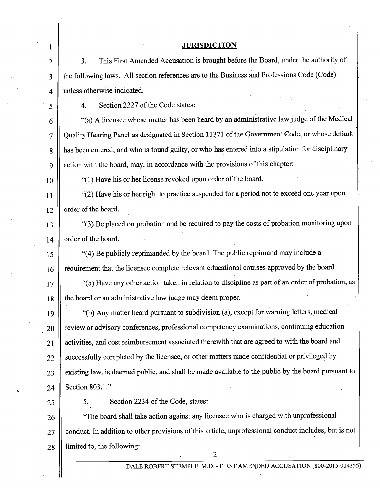# **JURISDICTION**

3. This First Amended Accusation is brought before the Board, under the authority of the following laws. All section references are to the Business and Professions Code (Code) unless otherwise indicated.

4. Section 2227 of the Code states:

 $6 \parallel$  "(a) A licensee whose matter has been heard by an administrative law judge of the Medical 7 || Quality Hearing Panel as designated in Section 11371 of the Government Code, or whose default 8 has been entered, and who is found guilty, or who has entered into a stipulation for disciplinary 9 || action with the board, may, in accordance with the provisions of this chapter:

10 "(1) Have his or her license revoked upon order of the board.

11  $\parallel$  "(2) Have his or her right to practice suspended for a period not to exceed one year upon  $12 \parallel$  order of the board.

13  $\parallel$  "(3) Be placed on probation and be required to pay the costs of probation monitoring upon  $14 \parallel$  order of the board.

15  $\parallel$  "(4) Be publicly reprimanded by the board. The public reprimand may include a 16 | requirement that the licensee complete relevant educational courses approved by the board.

17 || (5) Have any other action taken in relation to discipline as part of an order of probation, as 18 | the board or an administrative law judge may deem proper.

19  $\parallel$  "(b) Any matter heard pursuant to subdivision (a), except for warning letters, medical  $20$   $\parallel$  review or advisory conferences, professional competency examinations, continuing education 21 || activities, and cost reimbursement associated therewith that are agreed to with the board and 22 Successfully completed by the licensee, or other matters made confidential or privileged by 23 | existing law, is deemed public, and shall be made available to the public by the board pursuant to 24 | Section 803.1."

1

2

3

4

5

 $25 \parallel$  5. Section 2234 of the Code, states:

26 || "The board shall take action against any licensee who is charged with unprofessional 27 || conduct. In addition to other provisions of this article, unprofessional conduct includes, but is not 28 limited to, the following: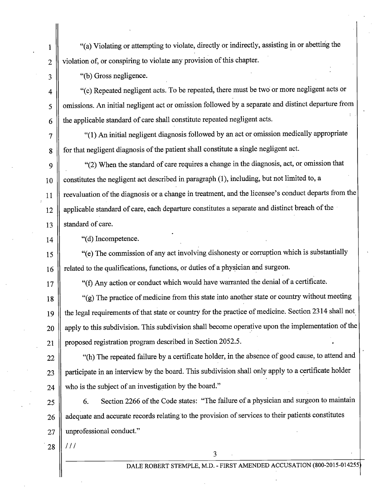1 "(a) Violating or attempting to violate, directly or indirectly, assisting in or abetting the  $2 \parallel$  violation of, or conspiring to violate any provision of this chapter.

 $3 \parallel$  "(b) Gross negligence.

4  $\parallel$  "(c) Repeated negligent acts. To be repeated, there must be two or more negligent acts or 5 | omissions. An initial negligent act or omission followed by a separate and distinct departure from  $6 \parallel$  the applicable standard of care shall constitute repeated negligent acts.

7 || "(1) An initial negligent diagnosis followed by an act or omission medically appropriate 8 | for that negligent diagnosis of the patient shall constitute a single negligent act.

9  $\parallel$  "(2) When the standard of care requires a change in the diagnosis, act, or omission that  $10$  constitutes the negligent act described in paragraph (1), including, but not limited to, a 11 | reevaluation of the diagnosis or a change in treatment, and the licensee's conduct departs from the  $12$  || applicable standard of care, each departure constitutes a separate and distinct breach of the 13 Standard of care.

 $14$  || "(d) Incompetence.

15  $\parallel$  "(e) The commission of any act involving dishonesty or corruption which is substantially  $16$  related to the qualifications, functions, or duties of a physician and surgeon.

17 || "(f) Any action or conduct which would have warranted the denial of a certificate.

18  $\parallel$  "(g) The practice of medicine from this state into another state or country without meeting 19 || the legal requirements of that state or country for the practice of medicine. Section 2314 shall not. 20 || apply to this subdivision. This subdivision shall become operative upon the implementation of the 21 || proposed registration program described in Section 2052.5.

22 || "(h) The repeated failure by a certificate holder, in the absence of good cause, to attend and  $23$  | participate in an interview by the board. This subdivision shall only apply to a certificate holder  $24$  who is the subject of an investigation by the board."

25 | 6. Section 2266 of the Code states: "The failure of a physician and surgeon to maintain  $26$  || adequate and accurate records relating to the provision of services to their patients constitutes 27 || unprofessional conduct."

3

 $28$  |  $111$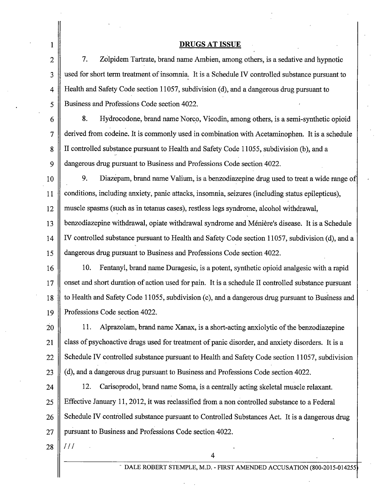## DRUGS AT ISSUE

7. Zolpidem Tartrate, brand name Am bien, among others, is a sedative and hypnotic used for short term treatment of insomnia. It is a Schedule IV controlled substance pursuant to Health and Safety Code section 11057, subdivision (d), and a dangerous drug pursuant to Business and Professions Code section 4022.

8. Hydrocodone, brand name Norco, Vicodin, among others, is a semi-synthetic opioid derived from codeine. It is commonly used in combination with Acetaminophen. It is a schedule II controlled substance pursuant to Health and Safety Code 11055, subdivision (b), and a dangerous drug pursuant to Business and Professions Code section 4022.

10 11 12 13 14 15 9. Diazepam, brand name Valium, is a benzodiazepine drug used to treat a wide range of conditions, including anxiety, panic attacks, insomnia, seizures (including status epilepticus), muscle spasms (such as in tetanus cases), restless legs syndrome, alcohol withdrawal, benzodiazepine withdrawal, opiate withdrawal syndrome and Meniere's disease. It is a Schedule IV controlled substance pursuant to Health and Safety Code section 11057, subdivision (d), and a dangerous drug pursuant to Business and Professions Code section 4022.

16 17 18 19 10. Fentanyl, brand name Duragesic, is a potent, synthetic opioid analgesic with a rapid onset and short duration of action used for pain. It is a schedule II controlled substance pursuant to Health and Safety Code 11055, subdivision (c), and a dangerous drug pursuant to Business and Professions Code section 4022.

2o 21 22 23 11. Alprazolam, brand name Xanax, is a short-acting anxiolytic of the benzodiazepine class of psychoactive drugs used for treatment of panic disorder, and anxiety disorders. It is a Schedule IV controlled substance pursuant to Health and Safety Code section 11057, subdivision (d), and a dangerous drug pursuant to Business and Professions Code section 4022.

24 25 26 27 12. Carisoprodol, brand name Soma, is a centrally acting skeletal muscle relaxant. Effective January 11, 2012, it was reclassified from a non controlled substance to a Federal Schedule IV controlled substance pursuant to Controlled Substances Act. It is a dangerous drug pursuant to Business and Professions Code section 4022.

4

28 *Ill* 

1

2

3

4

5

6

7

8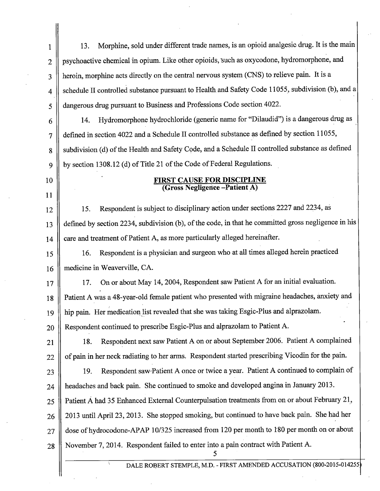1 || 13. Morphine, sold under different trade names, is an opioid analgesic drug. It is the main 2 | psychoactive chemical in opium. Like other opioids, such as oxycodone, hydromorphone, and 3 || heroin, morphine acts directly on the central nervous system (CNS) to relieve pain. It is a 4 || schedule II controlled substance pursuant to Health and Safety Code 11055, subdivision (b), and a 5 dangerous drug pursuant to Business and Professions Code section 4022.

<sup>6</sup>14. Hydromorphone hydrochloride (generic name for "Dilaudid") is a dangerous drug as defined in section 4022 and a Schedule II controlled substance as defined by section 11055, subdivision (d) of the Health and Safety Code, and a Schedule II controlled substance as defined by section 1308.12 (d) of Title 21 of the Code of Federal Regulations.

7

8

9

10

11

#### FIRST CAUSE FOR DISCIPLINE (Gross Negligence -Patient A)

12 || 15. Respondent is subject to disciplinary action under sections 2227 and 2234, as 13 defined by section 2234, subdivision (b), of the code, in that he committed gross negligence in his 14 || care and treatment of Patient A, as more particularly alleged hereinafter.

<sup>15</sup>16. Respondent is a physician and surgeon who at all times alleged herein practiced 16 || medicine in Weaverville, CA.

17 || 17. On or about May 14, 2004, Respondent saw Patient A for an initial evaluation. 18 || Patient A was a 48-year-old female patient who presented with migraine headaches, anxiety and 19 || hip pain. Her medication list revealed that she was taking Esgic-Plus and alprazolam.

20 || Respondent continued to prescribe Esgic-Plus and alprazolam to Patient A.

21 || 18. Respondent next saw Patient A on or about September 2006. Patient A complained  $22 \parallel$  of pain in her neck radiating to her arms. Respondent started prescribing Vicodin for the pain.

 $23$  ||230. Respondent saw Patient A once or twice a year. Patient A continued to complain of 24 **headaches and back pain.** She continued to smoke and developed angina in January 2013.

25 || Patient A had 35 Enhanced External Counterpulsation treatments from on or about February 21, 26 || 2013 until April 23, 2013. She stopped smoking, but continued to have back pain. She had her 27 dose of hydrocodone-APAP 10/325 increased from 120 per month to 180 per month on or about 28 November 7, 2014. Respondent failed to enter into a pain contract with Patient A.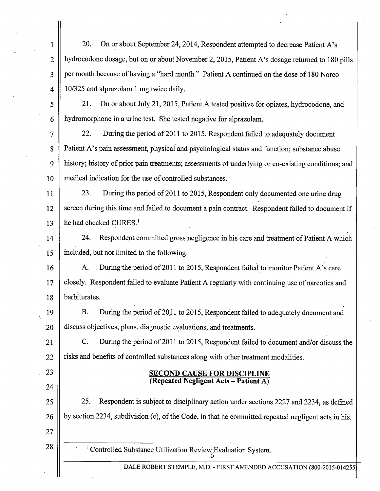1 20. On or about September 24, 2014, Respondent attempted to decrease Patient A's 2 | hydrocodone dosage, but on or about November 2, 2015, Patient A's dosage returned to 180 pills 3 || per month because of having a "hard month." Patient A continued on the dose of 180 Norco 4 |  $10/325$  and alprazolam 1 mg twice daily. 5 21. On or about July 21, 2015, Patient A tested positive for opiates, hydrocodone, and 6 hydromorphone in a urine test. She tested negative for alprazolam.  $\vert 7 \vert$  22. During the period of 2011 to 2015, Respondent failed to adequately document 8 | Patient A's pain assessment, physical and psychological status and function; substance abuse 9 history; history of prior pain treatments; assessments of underlying or co-existing conditions; and 10 || medical indication for the use of controlled substances. 11 || 23. During the period of 2011 to 2015, Respondent only documented one urine drug 12 || screen during this time and failed to document a pain contract. Respondent failed to document if 13  $\parallel$  he had checked CURES.<sup>1</sup> 14<sup>1</sup> 24. Respondent committed gross negligence in his care and treatment of Patient A which 15 included, but not limited to the following: 16 A. During the period of 2011 to 2015, Respondent failed to monitor Patient A's care 17  $\parallel$  closely. Respondent failed to evaluate Patient A regularly with continuing use of narcotics and 18 | barbiturates. 19 | B. During the period of 2011 to 2015, Respondent failed to adequately document and  $20 \parallel$  discuss objectives, plans, diagnostic evaluations, and treatments. 21 C. During the period of 2011 to 2015, Respondent failed to document and/or discuss the  $22$   $\parallel$  risks and benefits of controlled substances along with other treatment modalities. 23 **SECOND CAUSE FOR DISCIPLINE (Repeated Negligent Acts- Patient A)**  24 25  $\parallel$  25. Respondent is subject to disciplinary action under sections 2227 and 2234, as defined 26  $\parallel$  by section 2234, subdivision (c), of the Code, in that he committed repeated negligent acts in his. 27 28 | Controlled Substance Utilization Review Evaluation System.

DALE ROBERT STEMPLE, M.D.- FIRST AMENDED ACCUSATION (800-2015-014255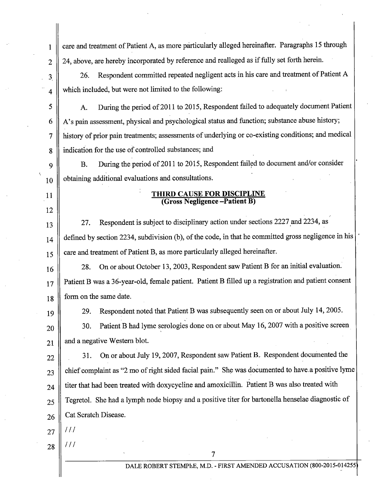1 care and treatment of Patient A, as more particularly alleged hereinafter. Paragraphs 15 through 2 || 24, above, are hereby incorporated by reference and realleged as if fully set forth herein. 3<sup>1</sup> 26. Respondent committed repeated negligent acts in his care and treatment of Patient A  $\parallel$  4 || which included, but were not limited to the following: 5 | A. During the period of 2011 to 2015, Respondent failed to adequately document Patient 6 | A's pain assessment, physical and psychological status and function; substance abuse history; 7 history of prior pain treatments; assessments of underlying or co-existing conditions; and medical 8 | indication for the use of controlled substances; and 9 | B. During the period of 2011 to 2015, Respondent failed to document and/or consider  $_{10}$  | obtaining additional evaluations and consultations. 11 || THIRD CAUSE FOR DISCIPLINE (Gross Negligence -Patient B) 12 13 || 27. Respondent is subject to disciplinary action under sections 2227 and 2234, as  $_{14}$  defined by section 2234, subdivision (b), of the code, in that he committed gross negligence in his  $15 \parallel$  care and treatment of Patient B, as more particularly alleged hereinafter. 16 28. On or about October 13, 2003, Respondent saw Patient B for an initial evaluation. 17 || Patient B was a 36-year-old, female patient. Patient B filled up a registration and patient consent 18 form on the same date. 19 20 29. Respondent noted that Patient B was subsequently seen on or about July 14, 2005. 30. Patient B had lyme serologies done on or about May 16, 2007 with a positive screen  $21$  and a negative Western blot. 22 | 31. On or about July 19, 2007, Respondent saw Patient B. Respondent documented the  $23$  chief complaint as "2 mo of right sided facial pain." She was documented to have a positive lyme  $_{24}$  || titer that had been treated with doxycycline and amoxicillin. Patient B was also treated with 25 || Tegretol. She had a lymph node biopsy and a positive titer for bartonella henselae diagnostic of  $26 \parallel$  Cat Scratch Disease.  $27$  ||  $/11$  $28$  ||  $111$ 7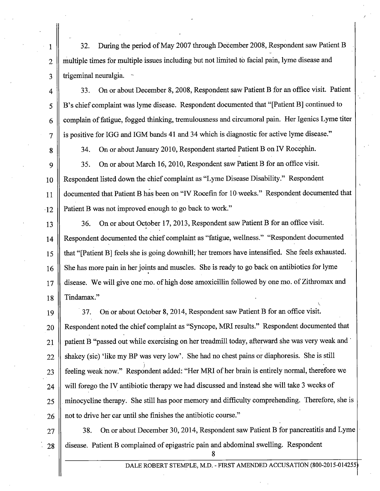1 32. During the period of May 2007 through December 2008, Respondent saw Patient B  $2 \parallel$  multiple times for multiple issues including but not limited to facial pain, lyme disease and  $3 \parallel$  trigeminal neuralgia.

4 33. On or about December 8, 2008, Respondent saw Patient B for an office visit. Patient <sup>5</sup>B's chief complaint was Iyme disease. Respondent documented that "[Patient B] continued to 6 complain of fatigue, fogged thinking, tremulousness and circumoral pain. Her Igenics Lyme titer  $7 \parallel$  is positive for IGG and IGM bands 41 and 34 which is diagnostic for active lyme disease."

8 || 34. On or about January 2010, Respondent started Patient B on IV Rocephin.

9 35. On or about March 16, 2010, Respondent saw Patient B for an office visit. 10 || Respondent listed down the chief complaint as "Lyme Disease Disability." Respondent 11 | documented that Patient B has been on "IV Rocefin for 10 weeks." Respondent documented that  $12 \parallel$  Patient B was not improved enough to go back to work."

13 || 36. On or about October 17, 2013, Respondent saw Patient B for an office visit. 14 || Respondent documented the chief complaint as "fatigue, wellness." "Respondent documented 15 that "[Patient B] feels she is going downhill; her tremors have intensified. She feels exhausted. 16 || She has more pain in her joints and muscles. She is ready to go back on antibiotics for lyme 17 || disease. We will give one mo. of high dose amoxicillin followed by one mo. of Zithromax and 18 Tindamax."

19 37. On or about October 8, 2014, Respondent saw Patient B for an office visit. **Respondent noted the chief complaint as "Syncope, MRI results."** Respondent documented that 21 patient B "passed out while exercising on her treadmill today, afterward she was very weak and  $\cdot$  shakey (sic) 'like my BP was very low'. She had no chest pains or diaphoresis. She is still  $\parallel$  feeling weak now." Respondent added: "Her MRI of her brain is entirely normal, therefore we will forego the IV antibiotic therapy we had discussed and instead she will take 3 weeks of  $\parallel$  minocycline therapy. She still has poor memory and difficulty comprehending. Therefore, she is  $26 \parallel$  not to drive her car until she finishes the antibiotic course."

27 38. On or about December 30, 2014, Respondent saw Patient B for pancreatitis and Lyme 28 disease. Patient B complained of epigastric pain and abdominal swelling. Respondent

8

\.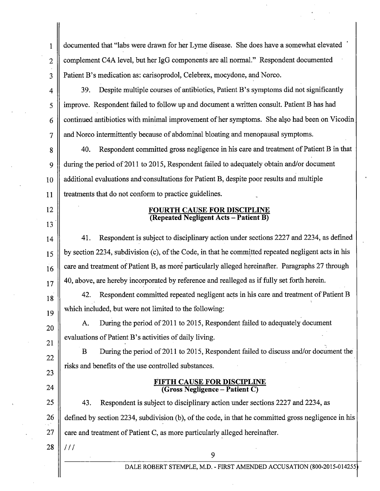1 documented that "labs were drawn for her Lyme disease. She does have a somewhat elevated 2 || complement C4A level, but her IgG components are all normal." Respondent documented 3 Patient B's medication as: carisoprodol, Celebrex, mocydone, and Norco.

4 39. Despite multiple courses of antibiotics, Patient B's symptoms did not significantly 5 improve. Respondent failed to follow up and document a written consult. Patient B has had  $6 \parallel$  continued antibiotics with minimal improvement of her symptoms. She also had been on Vicodin 7 and Norco intermittently because of abdominal bloating and menopausal symptoms.

8 || 40. Respondent committed gross negligence in his care and treatment of Patient B in that 9 10 11 during the period of 2011 to 2015, Respondent failed to adequately obtain and/or document additional evaluations and·consultations for Patient B, despite poor results and multiple treatments that do not conform to practice guidelines.

> FOURTH CAUSE FOR DISCIPLINE (Repeated Negligent Acts- Patient B)

14 41. Respondent is subject to disciplinary action under sections 2227 and 2234, as defined  $15 \parallel$  by section 2234, subdivision (c), of the Code, in that he committed repeated negligent acts in his  $16 \parallel$  care and treatment of Patient B, as more particularly alleged hereinafter. Paragraphs 27 through  $17||40$ , above, are hereby incorporated by reference and realleged as if fully set forth herein.

42. Respondent committed repeated negligent acts in his care and treatment of Patient B which included, but were not limited to the following:

A. During the period of 2011 to 2015, Respondent failed to adequately document evaluations of Patient B's activities of daily living.

B During the period of 2011 to 2015, Respondent failed to discuss and/or document the risks and benefits of the use controlled substances.

#### FIFTH CAUSE FOR DISCIPLINE (Gross Negligence- Patient C)

25 43. Respondent is subject to disciplinary action under sections 2227 and 2234, as 26 defined by section 2234, subdivision (b), of the code, in that he committed gross negligence in his 27  $\parallel$  care and treatment of Patient C, as more particularly alleged hereinafter.

 $28$  |  $111$ 

12

13

18

19

20

21

22

23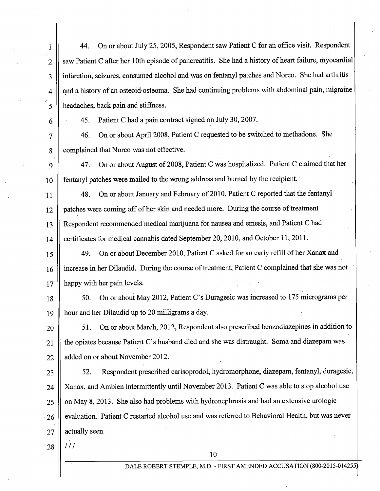1 44. On or about July 25, 2005, Respondent saw Patient C for an office visit. Respondent 2 || saw Patient C after her 10th episode of pancreatitis. She had a history of heart failure, myocardial 3 || infarction, seizures, consumed alcohol and was on fentanyl patches and Norco. She had arthritis  $4 \parallel$  and a history of an osteoid osteoma. She had continuing problems with abdominal pain, migraine 5 || headaches, back pain and stiffness.

 $6 \parallel \cdot 45$ . Patient C had a pain contract signed on July 30, 2007.

7 46. On or about April 2008, Patient C requested to be switched to methadone. She 8 complained that Norco was not effective.

9 || 47. On or about August of 2008, Patient C was hospitalized. Patient C claimed that her 10 fentanyl patches were mailed to the wrong address and burned by the recipient.

-11 48. On or about January and February of2010, Patient C reported that the fentanyl 12 patches were coming off of her skin and needed more. During the course of treatment 13 Respondent recommended medical marijuana for nausea and emesis, and Patient C had 14 Certificates for medical cannabis dated September 20, 2010, and October 11, 2011.

15 49. On or about December 2010, Patient C asked for an early refill of her Xanax and 16 | increase in her Dilaudid. During the course of treatment, Patient C complained that she was not 17 || happy with her pain levels.

18 | 50. On or about May 2012, Patient C's Duragesic was increased to 175 micrograms per 19 hour and her Dilaudid up to 20 milligrams a day.

20 | 51. On or about March, 2012, Respondent also prescribed benzodiazepines in addition to 21 || the opiates because Patient C's husband died and she was distraught. Soma and diazepam was 22 | added on or about November 2012.

23 | S2. Respondent prescribed carisoprodol, hydromorphone, diazepam, fentanyl, duragesic, 24 || Xanax, and Ambien intermittently until November 2013. Patient C was able to stop alcohol use  $25 \parallel$  on May 8, 2013. She also had problems with hydronephrosis and had an extensive urologic 26 || evaluation. Patient C restarted alcohol use and was referred to Behavioral Health, but was never  $27$  | actually seen.

 $28$  |  $111$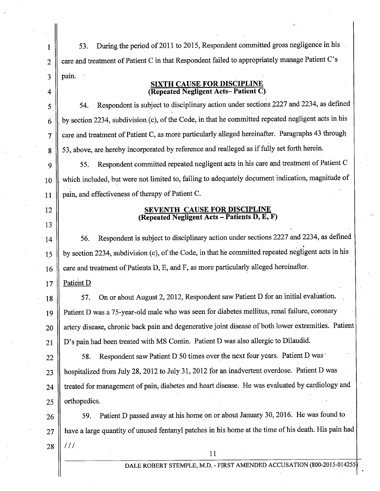1 | 53. During the period of 2011 to 2015, Respondent committed gross negligence in his 2 | care and treatment of Patient C in that Respondent failed to appropriately manage Patient C's  $3 \parallel$  pain.

## **SIXTH CAUSE FOR DISCIPLINE 4 (Repeated Negligent Acts- Patient C)**

 $5 \parallel$  54. Respondent is subject to disciplinary action under sections 2227 and 2234, as defined  $6 \parallel$  by section 2234, subdivision (c), of the Code, in that he committed repeated negligent acts in his 7 | care and treatment of Patient C, as more particularly alleged hereinafter. Paragraphs 43 through 8 || 53, above, are hereby incorporated by reference and realleged as if fully set forth herein.

<sup>9</sup>55. Respondent committed repeated negligent acts in his care and treatment of Patient C 10 **11**  which included, but were not limited to, failing to adequately document indication, magnitude of pain, and effectiveness of therapy of Patient C.

12

13

## **SEVENTH CAUSE FOR DISCIPLINE (Repeated Negligent Acts- Patients D, E, F)**

14 | 56. Respondent is subject to disciplinary action under sections 2227 and 2234, as defined  $\frac{15}{15}$  by section 2234, subdivision (c), of the Code, in that he committed repeated negligent acts in his  $16 \parallel$  care and treatment of Patients D, E, and F, as more particularly alleged hereinafter.

17 | Patient  $D$ 

18 | 57. On or about August 2, 2012, Respondent saw Patient D for an initial evaluation. 19 || Patient D was a 75-year-old male who was seen for diabetes mellitus, renal failure, coronary 20 || artery disease, chronic back pain and degenerative joint disease of both lower extremities. Patient  $21 \parallel D$ 's pain had been treated with MS Contin. Patient D was also allergic to Dilaudid.

22 || 58. Respondent saw Patient D 50 times over the next four years. Patient D was 23 | hospitalized from July 28, 2012 to July 31, 2012 for an inadvertent overdose. Patient D was 24 | treated for management of pain, diabetes and heart disease. He was evaluated by cardiology and 25 || orthopedics.

 $26\parallel$  59. Patient D passed away at his home on or about January 30, 2016. He was found to  $27$  || have a large quantity of unused fentanyl patches in his home at the time of his death. His pain had  $28$  ||  $111$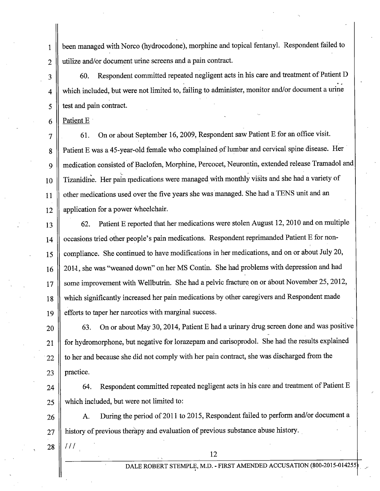1 been managed with Norco (hydrocodone), morphine and topical fentanyl. Respondent failed to  $2 \parallel$  utilize and/or document urine screens and a pain contract.

3 || 60. Respondent committed repeated negligent acts in his care and treatment of Patient D 4 || which included, but were not limited to, failing to administer, monitor and/or document a urine  $5 \parallel$  test and pain contract.

 $6 \parallel$  Patient E

7 || 61. On or about September 16, 2009, Respondent saw Patient E for an office visit. 8 | Patient E was a 45-year-old female who complained of lumbar and cervical spine disease. Her 9 | medication consisted of Baclofen, Morphine, Percocet, Neurontin, extended release Tramadol and  $_{10}$  Tizanidine. Her pain medications were managed with monthly visits and she had a variety of 11 d other medications used over the five years she was managed. She had a TENS unit and an  $12$  | application for a power wheelchair.

13 C2. Patient E reported that her medications were stolen August 12, 2010 and on multiple 14 || occasions tried other people's pain medications. Respondent reprimanded Patient E for non-15 Compliance. She continued to have modifications in her medications, and on or about July 20, 16 | 2011, she was "weaned down" on her MS Contin. She had problems with depression and had  $17 \parallel$  some improvement with Wellbutrin. She had a pelvic fracture on or about November 25, 2012, 18 which significantly increased her pain medications by other caregivers and Respondent made 19 || efforts to taper her narcotics with marginal success.

 $20\parallel$  63. On or about May 30, 2014, Patient E had a urinary drug screen done and was positive  $21$  || for hydromorphone, but negative for lorazepam and carisoprodol. She had the results explained  $22 \parallel$  to her and because she did not comply with her pain contract, she was discharged from the  $23$  | practice.

 $24$   $\parallel$  64. Respondent committed repeated negligent acts in his care and treatment of Patient E 25 | which included, but were not limited to:

26 | A. During the period of 2011 to 2015, Respondent failed to perform and/or document a 27 || history of previous therapy and evaluation of previous substance abuse history.

 $28$  ||  $111$ 

DALE ROBERT STEMPLE, M.D. - FIRST AMENDED ACCUSATION (800-2015-014255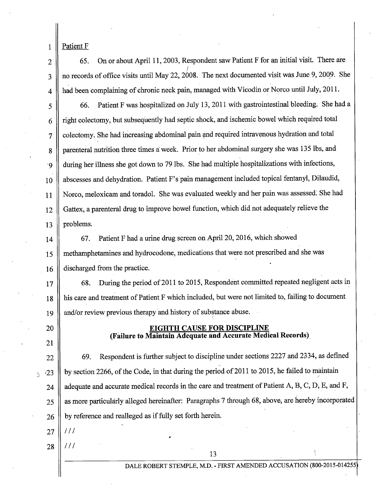Patient F

1

2

3

4

5

6

7

8

'9

10

11

12

13

20

21

65. On or about April 11, 2003, Respondent saw Patient F for an initial visit. There are *}*  no records of office visits until May 22, 2008. The next documented visit was June 9, 2009. She had been complaining of chronic neck pain, managed with Vicodin or Norco until July, 2011.

66. Patient F was hospitalized on July 13, 2011 with gastrointestinal bleeding. She had a right colectomy, but subsequently had septic shock, and ischemic bowel which required total colectomy. She had increasing abdominal pain and required intravenous hydration and total parenteral nutrition three times a week. Prior to her abdominal surgery she was 135 lbs, and during her illness she got down to 79 lbs. She had multiple hospitalizations with infections, abscesses and dehydration. Patient F's pain management included topical fentanyl, Dilaudid, Norco, meloxicam and toradol. She was evaluated weekly and her pain was assessed: She had Gattex, a parenteral drug to improve bowel function, which did not adequately relieve the problems.

14 15 16 67. Patient F had a urine drug screen on April 20, 2016, which showed methamphetamines and hydrocodone, medications that were not prescribed and she was discharged from the practice.

17 18 19 68. During the period of 2011 to 2015, Respondent committed repeated negligent acts in his care and treatment of Patient F which included, but were not limited to, failing to document and/or review previous therapy and history of substance abuse. *(* 

# EIGHTH CAUSE FOR DISCIPLINE (Failure to Maintain Adequate and Accurate Medical Records).

22  $\sim$  23 24 25 26 69. Respondent is further subject to discipline under sections 2227 and 2334, as defined by section 2266, of the Code, in that during the period of 2011 to 2015, he failed to maintain adequate and accurate medical records in the care and treatment of Patient A, B, C, D, E, and F, as more particularly alleged hereinafter: Paragraphs 7 through 68, above, are hereby incorporated by reference and realleged as if fully set forth herein.

- 27 *Ill*
- 28 *Ill*

DALE ROBERT STEMPLE, M.D.- FIRST AMENDED ACCUSATION (800-2015-014255